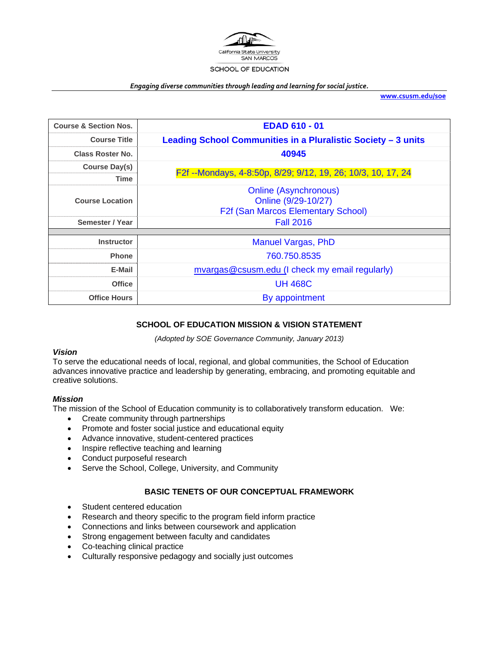

#### *Engaging diverse communities through leading and learning for social justice.*

**www.csusm.edu/soe**

| <b>Course &amp; Section Nos.</b> | <b>EDAD 610 - 01</b>                                          |
|----------------------------------|---------------------------------------------------------------|
| <b>Course Title</b>              | Leading School Communities in a Pluralistic Society - 3 units |
| <b>Class Roster No.</b>          | 40945                                                         |
| Course Day(s)                    |                                                               |
| <b>Time</b>                      | F2f --Mondays, 4-8:50p, 8/29; 9/12, 19, 26; 10/3, 10, 17, 24  |
| <b>Course Location</b>           | <b>Online (Asynchronous)</b>                                  |
|                                  | Online (9/29-10/27)                                           |
|                                  | <b>F2f (San Marcos Elementary School)</b>                     |
| Semester / Year                  | <b>Fall 2016</b>                                              |
|                                  |                                                               |
| <b>Instructor</b>                | <b>Manuel Vargas, PhD</b>                                     |
| <b>Phone</b>                     | 760.750.8535                                                  |
| E-Mail                           | mvargas@csusm.edu (I check my email regularly)                |
| <b>Office</b>                    | <b>UH 468C</b>                                                |
| <b>Office Hours</b>              | By appointment                                                |

# **SCHOOL OF EDUCATION MISSION & VISION STATEMENT**

*(Adopted by SOE Governance Community, January 2013)* 

# *Vision*

To serve the educational needs of local, regional, and global communities, the School of Education advances innovative practice and leadership by generating, embracing, and promoting equitable and creative solutions.

### *Mission*

The mission of the School of Education community is to collaboratively transform education. We:

- Create community through partnerships
- Promote and foster social justice and educational equity
- Advance innovative, student-centered practices
- Inspire reflective teaching and learning
- Conduct purposeful research
- Serve the School, College, University, and Community

# **BASIC TENETS OF OUR CONCEPTUAL FRAMEWORK**

- Student centered education
- Research and theory specific to the program field inform practice
- Connections and links between coursework and application
- Strong engagement between faculty and candidates
- Co-teaching clinical practice
- Culturally responsive pedagogy and socially just outcomes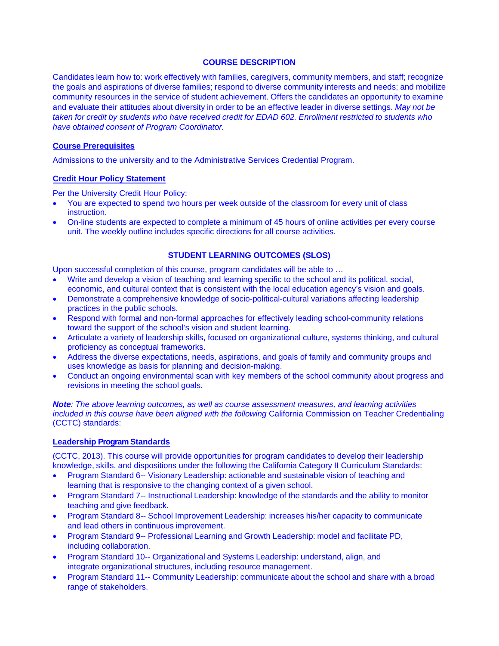### **COURSE DESCRIPTION**

Candidates learn how to: work effectively with families, caregivers, community members, and staff; recognize the goals and aspirations of diverse families; respond to diverse community interests and needs; and mobilize community resources in the service of student achievement. Offers the candidates an opportunity to examine and evaluate their attitudes about diversity in order to be an effective leader in diverse settings. *May not be taken for credit by students who have received credit for EDAD 602. Enrollment restricted to students who have obtained consent of Program Coordinator.*

### **Course Prerequisites**

Admissions to the university and to the Administrative Services Credential Program.

# **Credit Hour Policy Statement**

Per the University Credit Hour Policy:

- You are expected to spend two hours per week outside of the classroom for every unit of class instruction.
- On-line students are expected to complete a minimum of 45 hours of online activities per every course unit. The weekly outline includes specific directions for all course activities.

# **STUDENT LEARNING OUTCOMES (SLOS)**

Upon successful completion of this course, program candidates will be able to …

- Write and develop a vision of teaching and learning specific to the school and its political, social, economic, and cultural context that is consistent with the local education agency's vision and goals.
- Demonstrate a comprehensive knowledge of socio-political-cultural variations affecting leadership practices in the public schools.
- Respond with formal and non-formal approaches for effectively leading school-community relations toward the support of the school's vision and student learning.
- Articulate a variety of leadership skills, focused on organizational culture, systems thinking, and cultural proficiency as conceptual frameworks.
- Address the diverse expectations, needs, aspirations, and goals of family and community groups and uses knowledge as basis for planning and decision-making.
- Conduct an ongoing environmental scan with key members of the school community about progress and revisions in meeting the school goals.

*Note: The above learning outcomes, as well as course assessment measures, and learning activities included in this course have been aligned with the following* California Commission on Teacher Credentialing (CCTC) standards:

# **Leadership Program Standards**

(CCTC, 2013). This course will provide opportunities for program candidates to develop their leadership knowledge, skills, and dispositions under the following the California Category II Curriculum Standards:

- Program Standard 6-- Visionary Leadership: actionable and sustainable vision of teaching and learning that is responsive to the changing context of a given school.
- Program Standard 7-- Instructional Leadership: knowledge of the standards and the ability to monitor teaching and give feedback.
- Program Standard 8-- School Improvement Leadership: increases his/her capacity to communicate and lead others in continuous improvement.
- Program Standard 9-- Professional Learning and Growth Leadership: model and facilitate PD, including collaboration.
- Program Standard 10-- Organizational and Systems Leadership: understand, align, and integrate organizational structures, including resource management.
- Program Standard 11-- Community Leadership: communicate about the school and share with a broad range of stakeholders.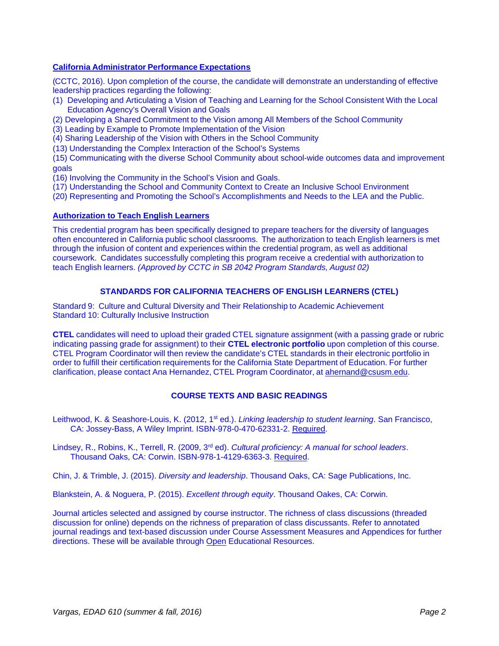# **California Administrator Performance Expectations**

(CCTC, 2016). Upon completion of the course, the candidate will demonstrate an understanding of effective leadership practices regarding the following:

- (1) Developing and Articulating a Vision of Teaching and Learning for the School Consistent With the Local Education Agency's Overall Vision and Goals
- (2) Developing a Shared Commitment to the Vision among All Members of the School Community
- (3) Leading by Example to Promote Implementation of the Vision

(4) Sharing Leadership of the Vision with Others in the School Community

(13) Understanding the Complex Interaction of the School's Systems

(15) Communicating with the diverse School Community about school-wide outcomes data and improvement goals

(16) Involving the Community in the School's Vision and Goals.

- (17) Understanding the School and Community Context to Create an Inclusive School Environment
- (20) Representing and Promoting the School's Accomplishments and Needs to the LEA and the Public.

### **Authorization to Teach English Learners**

This credential program has been specifically designed to prepare teachers for the diversity of languages often encountered in California public school classrooms. The authorization to teach English learners is met through the infusion of content and experiences within the credential program, as well as additional coursework. Candidates successfully completing this program receive a credential with authorization to teach English learners. *(Approved by CCTC in SB 2042 Program Standards, August 02)* 

# **STANDARDS FOR CALIFORNIA TEACHERS OF ENGLISH LEARNERS (CTEL)**

Standard 9: Culture and Cultural Diversity and Their Relationship to Academic Achievement Standard 10: Culturally Inclusive Instruction

**CTEL** candidates will need to upload their graded CTEL signature assignment (with a passing grade or rubric indicating passing grade for assignment) to their **CTEL electronic portfolio** upon completion of this course. CTEL Program Coordinator will then review the candidate's CTEL standards in their electronic portfolio in order to fulfill their certification requirements for the California State Department of Education. For further clarification, please contact Ana Hernandez, CTEL Program Coordinator, at ahernand@csusm.edu.

# **COURSE TEXTS AND BASIC READINGS**

Leithwood, K. & Seashore-Louis, K. (2012, 1st ed.). *Linking leadership to student learning*. San Francisco, CA: Jossey-Bass, A Wiley Imprint. ISBN-978-0-470-62331-2. Required.

Lindsey, R., Robins, K., Terrell, R. (2009, 3rd ed). *Cultural proficiency: A manual for school leaders*. Thousand Oaks, CA: Corwin. ISBN-978-1-4129-6363-3. Required.

Chin, J. & Trimble, J. (2015). *Diversity and leadership*. Thousand Oaks, CA: Sage Publications, Inc.

Blankstein, A. & Noguera, P. (2015). *Excellent through equity*. Thousand Oakes, CA: Corwin.

Journal articles selected and assigned by course instructor. The richness of class discussions (threaded discussion for online) depends on the richness of preparation of class discussants. Refer to annotated journal readings and text-based discussion under Course Assessment Measures and Appendices for further directions. These will be available through Open Educational Resources.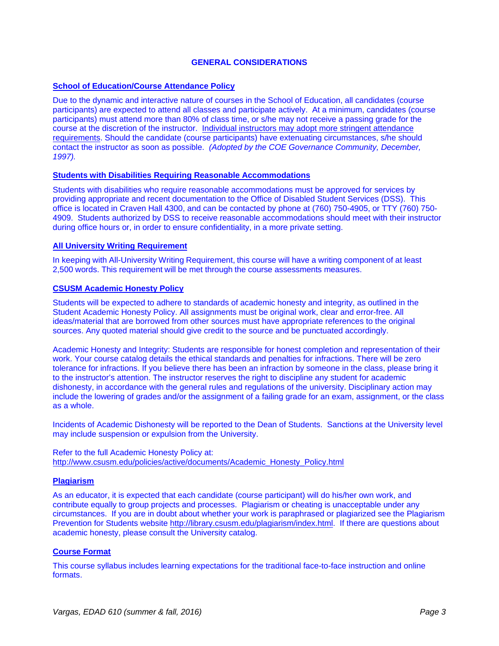## **GENERAL CONSIDERATIONS**

### **School of Education/Course Attendance Policy**

Due to the dynamic and interactive nature of courses in the School of Education, all candidates (course participants) are expected to attend all classes and participate actively. At a minimum, candidates (course participants) must attend more than 80% of class time, or s/he may not receive a passing grade for the course at the discretion of the instructor. Individual instructors may adopt more stringent attendance requirements. Should the candidate (course participants) have extenuating circumstances, s/he should contact the instructor as soon as possible. *(Adopted by the COE Governance Community, December, 1997).*

## **Students with Disabilities Requiring Reasonable Accommodations**

Students with disabilities who require reasonable accommodations must be approved for services by providing appropriate and recent documentation to the Office of Disabled Student Services (DSS). This office is located in Craven Hall 4300, and can be contacted by phone at (760) 750-4905, or TTY (760) 750- 4909. Students authorized by DSS to receive reasonable accommodations should meet with their instructor during office hours or, in order to ensure confidentiality, in a more private setting.

### **All University Writing Requirement**

In keeping with All-University Writing Requirement, this course will have a writing component of at least 2,500 words. This requirement will be met through the course assessments measures.

### **CSUSM Academic Honesty Policy**

Students will be expected to adhere to standards of academic honesty and integrity, as outlined in the Student Academic Honesty Policy. All assignments must be original work, clear and error-free. All ideas/material that are borrowed from other sources must have appropriate references to the original sources. Any quoted material should give credit to the source and be punctuated accordingly.

Academic Honesty and Integrity: Students are responsible for honest completion and representation of their work. Your course catalog details the ethical standards and penalties for infractions. There will be zero tolerance for infractions. If you believe there has been an infraction by someone in the class, please bring it to the instructor's attention. The instructor reserves the right to discipline any student for academic dishonesty, in accordance with the general rules and regulations of the university. Disciplinary action may include the lowering of grades and/or the assignment of a failing grade for an exam, assignment, or the class as a whole.

Incidents of Academic Dishonesty will be reported to the Dean of Students. Sanctions at the University level may include suspension or expulsion from the University.

Refer to the full Academic Honesty Policy at: http://www.csusm.edu/policies/active/documents/Academic\_Honesty\_Policy.html

### **Plagiarism**

As an educator, it is expected that each candidate (course participant) will do his/her own work, and contribute equally to group projects and processes. Plagiarism or cheating is unacceptable under any circumstances. If you are in doubt about whether your work is paraphrased or plagiarized see the Plagiarism Prevention for Students website http://library.csusm.edu/plagiarism/index.html. If there are questions about academic honesty, please consult the University catalog.

### **Course Format**

This course syllabus includes learning expectations for the traditional face-to-face instruction and online formats.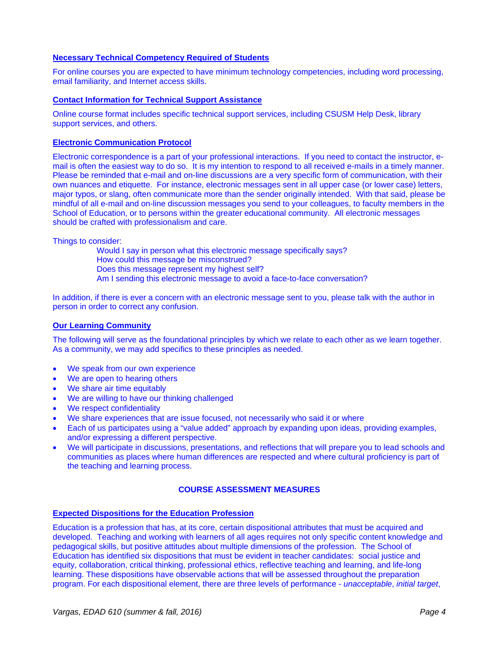### **Necessary Technical Competency Required of Students**

For online courses you are expected to have minimum technology competencies, including word processing, email familiarity, and Internet access skills.

#### **Contact Information for Technical Support Assistance**

Online course format includes specific technical support services, including CSUSM Help Desk, library support services, and others.

#### **Electronic Communication Protocol**

Electronic correspondence is a part of your professional interactions. If you need to contact the instructor, email is often the easiest way to do so. It is my intention to respond to all received e-mails in a timely manner. Please be reminded that e-mail and on-line discussions are a very specific form of communication, with their own nuances and etiquette. For instance, electronic messages sent in all upper case (or lower case) letters, major typos, or slang, often communicate more than the sender originally intended. With that said, please be mindful of all e-mail and on-line discussion messages you send to your colleagues, to faculty members in the School of Education, or to persons within the greater educational community. All electronic messages should be crafted with professionalism and care.

Things to consider:

Would I say in person what this electronic message specifically says? How could this message be misconstrued? Does this message represent my highest self? Am I sending this electronic message to avoid a face-to-face conversation?

In addition, if there is ever a concern with an electronic message sent to you, please talk with the author in person in order to correct any confusion.

### **Our Learning Community**

The following will serve as the foundational principles by which we relate to each other as we learn together. As a community, we may add specifics to these principles as needed.

- We speak from our own experience
- We are open to hearing others
- We share air time equitably
- We are willing to have our thinking challenged
- We respect confidentiality
- We share experiences that are issue focused, not necessarily who said it or where
- Each of us participates using a "value added" approach by expanding upon ideas, providing examples, and/or expressing a different perspective.
- We will participate in discussions, presentations, and reflections that will prepare you to lead schools and communities as places where human differences are respected and where cultural proficiency is part of the teaching and learning process.

### **COURSE ASSESSMENT MEASURES**

### **Expected Dispositions for the Education Profession**

Education is a profession that has, at its core, certain dispositional attributes that must be acquired and developed. Teaching and working with learners of all ages requires not only specific content knowledge and pedagogical skills, but positive attitudes about multiple dimensions of the profession. The School of Education has identified six dispositions that must be evident in teacher candidates: social justice and equity, collaboration, critical thinking, professional ethics, reflective teaching and learning, and life-long learning. These dispositions have observable actions that will be assessed throughout the preparation program. For each dispositional element, there are three levels of performance - *unacceptable*, *initial target*,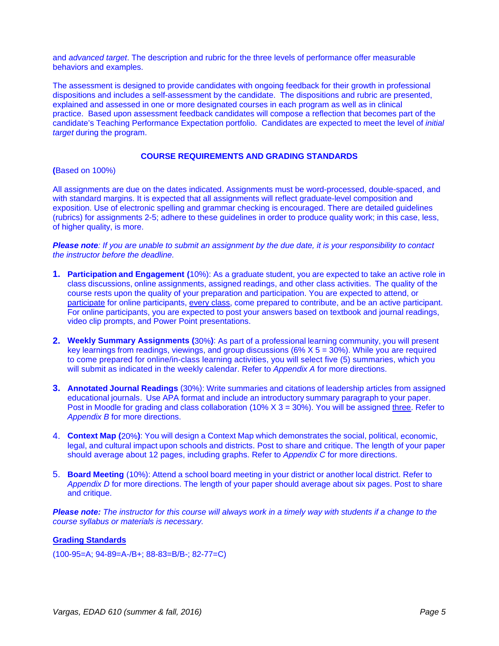and *advanced target*. The description and rubric for the three levels of performance offer measurable behaviors and examples.

The assessment is designed to provide candidates with ongoing feedback for their growth in professional dispositions and includes a self-assessment by the candidate. The dispositions and rubric are presented, explained and assessed in one or more designated courses in each program as well as in clinical practice. Based upon assessment feedback candidates will compose a reflection that becomes part of the candidate's Teaching Performance Expectation portfolio. Candidates are expected to meet the level of *initial target* during the program.

### **COURSE REQUIREMENTS AND GRADING STANDARDS**

**(**Based on 100%)

All assignments are due on the dates indicated. Assignments must be word-processed, double-spaced, and with standard margins. It is expected that all assignments will reflect graduate-level composition and exposition. Use of electronic spelling and grammar checking is encouraged. There are detailed guidelines (rubrics) for assignments 2-5; adhere to these guidelines in order to produce quality work; in this case, less, of higher quality, is more.

*Please note: If you are unable to submit an assignment by the due date, it is your responsibility to contact the instructor before the deadline.* 

- **1. Participation and Engagement (**10%): As a graduate student, you are expected to take an active role in class discussions, online assignments, assigned readings, and other class activities. The quality of the course rests upon the quality of your preparation and participation. You are expected to attend, or participate for online participants, every class, come prepared to contribute, and be an active participant. For online participants, you are expected to post your answers based on textbook and journal readings, video clip prompts, and Power Point presentations.
- **2. Weekly Summary Assignments (**30%**)**: As part of a professional learning community, you will present key learnings from readings, viewings, and group discussions ( $6\%$  X  $5 = 30\%$ ). While you are required to come prepared for online/in-class learning activities, you will select five (5) summaries, which you will submit as indicated in the weekly calendar. Refer to *Appendix A* for more directions.
- **3. Annotated Journal Readings** (30%): Write summaries and citations of leadership articles from assigned educational journals. Use APA format and include an introductory summary paragraph to your paper. Post in Moodle for grading and class collaboration (10%  $X$  3 = 30%). You will be assigned three. Refer to *Appendix B* for more directions.
- 4. **Context Map (**20%**)**: You will design a Context Map which demonstrates the social, political, economic, legal, and cultural impact upon schools and districts. Post to share and critique. The length of your paper should average about 12 pages, including graphs. Refer to *Appendix C* for more directions.
- 5. **Board Meeting** (10%): Attend a school board meeting in your district or another local district. Refer to *Appendix D* for more directions. The length of your paper should average about six pages. Post to share and critique.

*Please note: The instructor for this course will always work in a timely way with students if a change to the course syllabus or materials is necessary.* 

### **Grading Standards**

(100-95=A; 94-89=A-/B+; 88-83=B/B-; 82-77=C)